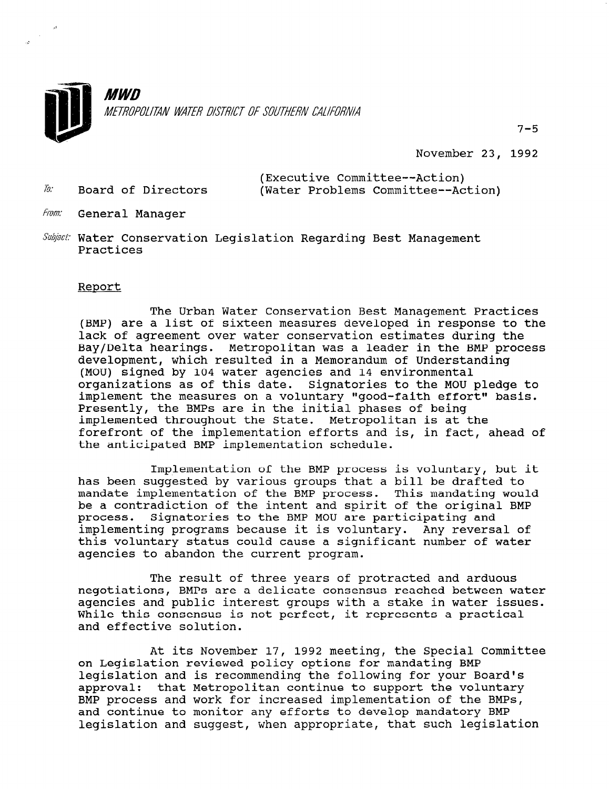

November 23, 1992

7-5

(Executive Committee--Action) 2% Board of Directors (Water Problems Committee--Action)

- 
- From: General Manager
- Subject: Water Conservation Legislation Regarding Best Management Practices

## Report

 $\mathcal{L}_{\mathrm{eff}}$ 

The Urban Water Conservation Best Management Practices (BMP) are a list of sixteen measures developed in response to the lack of agreement over water conservation estimates during the Bay/Delta hearings. Metropolitan was a leader in the BMP process development, which resulted in a Memorandum of Understanding (MOU) signed by 104 water agencies and 14 environmental organizations as of this date. Signatories to the MOU pledge to implement the measures on a voluntary "good-faith effort" basis. Presently, the BMPs are in the initial phases of being implemented throughout the State. Metropolitan is at the forefront of the implementation efforts and is, in fact, ahead of the anticipated BMP implementation schedule.

Implementation of the BMP process is voluntary, but it has been suggested by various groups that a bill be drafted to mandate implementation of the BMP process. This mandating would be a contradiction of the intent and spirit of the original BMP process. Signatories to the BMP MOU are participating and implementing programs because it is voluntary. Any reversal of this voluntary status could cause a significant number of water agencies to abandon the current program.

The result of three years of protracted and arduous negotiations, BMPs are a delicate consensus reached between water agencies and public interest groups with a stake in water issues. While this consensus is not perfect, it represents a practical and effective solution.

At its November 17, 1992 meeting, the Special Committee At Its NOVEMBEL I7, 1992 MEEtING, the special t legislation and is recommending the following for your Board's legislation and is recommending the following for your Board's approval: that Metropolitan continue to support the voluntary BMP process and work for increased implementation of the BMPs, and continue to monitor any efforts to develop mandatory BMP and continue to monitor any efforts to develop mandatory BMP<br>legislation and suggest, when appropriate, that such legislation